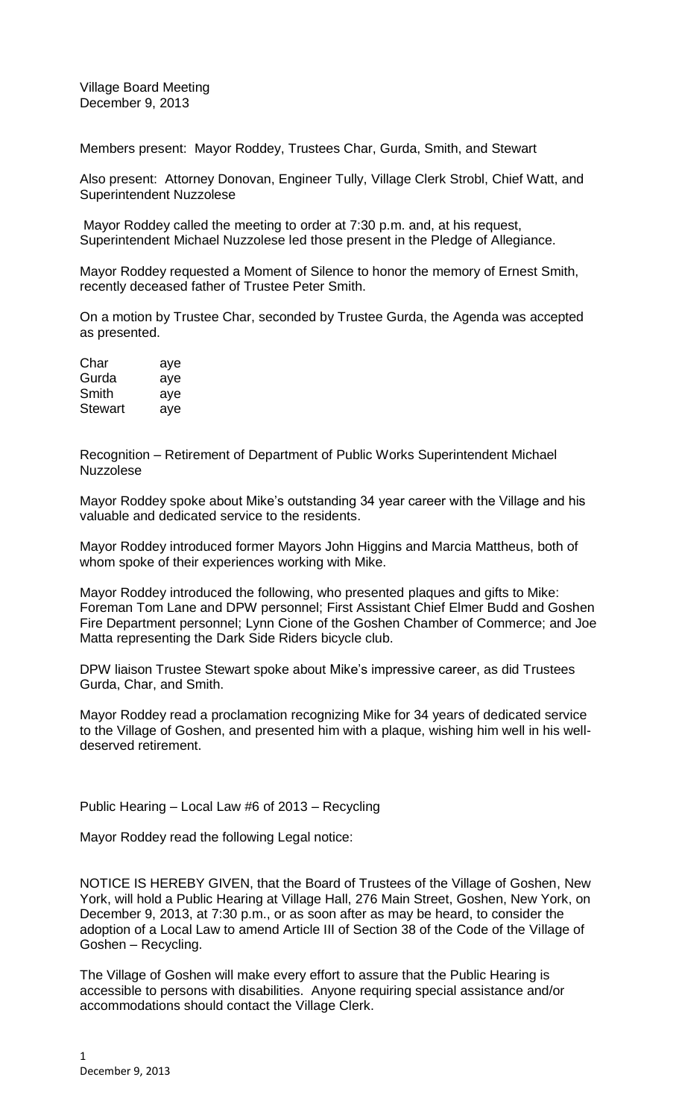Village Board Meeting December 9, 2013

Members present: Mayor Roddey, Trustees Char, Gurda, Smith, and Stewart

Also present: Attorney Donovan, Engineer Tully, Village Clerk Strobl, Chief Watt, and Superintendent Nuzzolese

Mayor Roddey called the meeting to order at 7:30 p.m. and, at his request, Superintendent Michael Nuzzolese led those present in the Pledge of Allegiance.

Mayor Roddey requested a Moment of Silence to honor the memory of Ernest Smith, recently deceased father of Trustee Peter Smith.

On a motion by Trustee Char, seconded by Trustee Gurda, the Agenda was accepted as presented.

| Char    | aye |
|---------|-----|
| Gurda   | aye |
| Smith   | aye |
| Stewart | aye |

Recognition – Retirement of Department of Public Works Superintendent Michael Nuzzolese

Mayor Roddey spoke about Mike's outstanding 34 year career with the Village and his valuable and dedicated service to the residents.

Mayor Roddey introduced former Mayors John Higgins and Marcia Mattheus, both of whom spoke of their experiences working with Mike.

Mayor Roddey introduced the following, who presented plaques and gifts to Mike: Foreman Tom Lane and DPW personnel; First Assistant Chief Elmer Budd and Goshen Fire Department personnel; Lynn Cione of the Goshen Chamber of Commerce; and Joe Matta representing the Dark Side Riders bicycle club.

DPW liaison Trustee Stewart spoke about Mike's impressive career, as did Trustees Gurda, Char, and Smith.

Mayor Roddey read a proclamation recognizing Mike for 34 years of dedicated service to the Village of Goshen, and presented him with a plaque, wishing him well in his welldeserved retirement.

Public Hearing – Local Law #6 of 2013 – Recycling

Mayor Roddey read the following Legal notice:

NOTICE IS HEREBY GIVEN, that the Board of Trustees of the Village of Goshen, New York, will hold a Public Hearing at Village Hall, 276 Main Street, Goshen, New York, on December 9, 2013, at 7:30 p.m., or as soon after as may be heard, to consider the adoption of a Local Law to amend Article III of Section 38 of the Code of the Village of Goshen – Recycling.

The Village of Goshen will make every effort to assure that the Public Hearing is accessible to persons with disabilities. Anyone requiring special assistance and/or accommodations should contact the Village Clerk.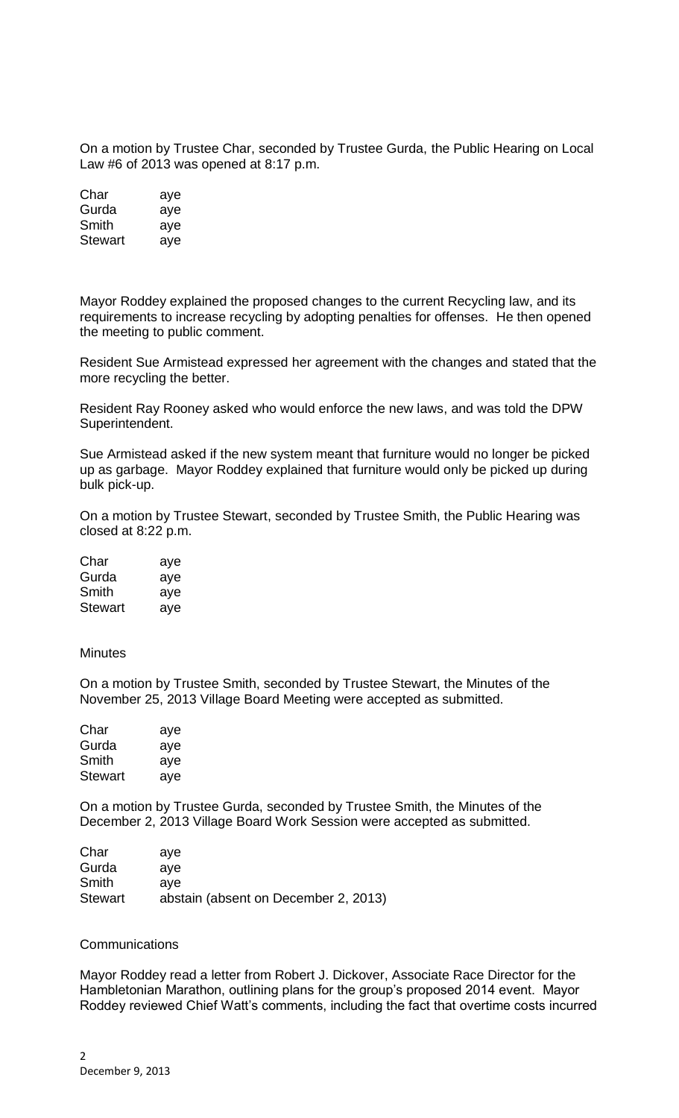On a motion by Trustee Char, seconded by Trustee Gurda, the Public Hearing on Local Law #6 of 2013 was opened at 8:17 p.m.

| Char    | aye |
|---------|-----|
| Gurda   | aye |
| Smith   | aye |
| Stewart | aye |

Mayor Roddey explained the proposed changes to the current Recycling law, and its requirements to increase recycling by adopting penalties for offenses. He then opened the meeting to public comment.

Resident Sue Armistead expressed her agreement with the changes and stated that the more recycling the better.

Resident Ray Rooney asked who would enforce the new laws, and was told the DPW Superintendent.

Sue Armistead asked if the new system meant that furniture would no longer be picked up as garbage. Mayor Roddey explained that furniture would only be picked up during bulk pick-up.

On a motion by Trustee Stewart, seconded by Trustee Smith, the Public Hearing was closed at 8:22 p.m.

Char aye Gurda aye Smith aye Stewart aye

**Minutes** 

On a motion by Trustee Smith, seconded by Trustee Stewart, the Minutes of the November 25, 2013 Village Board Meeting were accepted as submitted.

| Char           | aye |
|----------------|-----|
| Gurda          | aye |
| Smith          | aye |
| <b>Stewart</b> | aye |

On a motion by Trustee Gurda, seconded by Trustee Smith, the Minutes of the December 2, 2013 Village Board Work Session were accepted as submitted.

| Char           | ave                                  |
|----------------|--------------------------------------|
| Gurda          | ave                                  |
| Smith          | ave                                  |
| <b>Stewart</b> | abstain (absent on December 2, 2013) |

## **Communications**

Mayor Roddey read a letter from Robert J. Dickover, Associate Race Director for the Hambletonian Marathon, outlining plans for the group's proposed 2014 event. Mayor Roddey reviewed Chief Watt's comments, including the fact that overtime costs incurred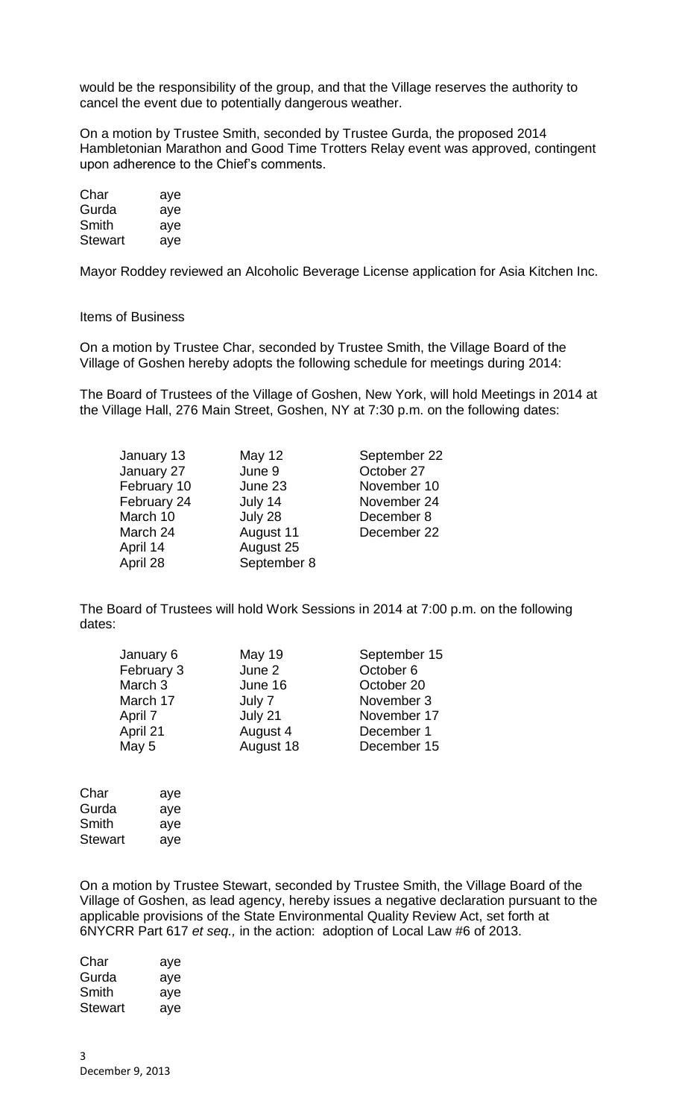would be the responsibility of the group, and that the Village reserves the authority to cancel the event due to potentially dangerous weather.

On a motion by Trustee Smith, seconded by Trustee Gurda, the proposed 2014 Hambletonian Marathon and Good Time Trotters Relay event was approved, contingent upon adherence to the Chief's comments.

| Char    | aye |
|---------|-----|
| Gurda   | aye |
| Smith   | aye |
| Stewart | aye |

Mayor Roddey reviewed an Alcoholic Beverage License application for Asia Kitchen Inc.

Items of Business

On a motion by Trustee Char, seconded by Trustee Smith, the Village Board of the Village of Goshen hereby adopts the following schedule for meetings during 2014:

The Board of Trustees of the Village of Goshen, New York, will hold Meetings in 2014 at the Village Hall, 276 Main Street, Goshen, NY at 7:30 p.m. on the following dates:

| January 13  | May 12      | September 22 |
|-------------|-------------|--------------|
| January 27  | June 9      | October 27   |
| February 10 | June 23     | November 10  |
| February 24 | July 14     | November 24  |
| March 10    | July 28     | December 8   |
| March 24    | August 11   | December 22  |
| April 14    | August 25   |              |
| April 28    | September 8 |              |

The Board of Trustees will hold Work Sessions in 2014 at 7:00 p.m. on the following dates:

| January 6  | <b>May 19</b> | September 15 |
|------------|---------------|--------------|
| February 3 | June 2        | October 6    |
| March 3    | June 16       | October 20   |
| March 17   | July 7        | November 3   |
| April 7    | July 21       | November 17  |
| April 21   | August 4      | December 1   |
| May 5      | August 18     | December 15  |
|            |               |              |

| Char    | aye |
|---------|-----|
| Gurda   | aye |
| Smith   | aye |
| Stewart | aye |

On a motion by Trustee Stewart, seconded by Trustee Smith, the Village Board of the Village of Goshen, as lead agency, hereby issues a negative declaration pursuant to the applicable provisions of the State Environmental Quality Review Act, set forth at 6NYCRR Part 617 *et seq.,* in the action: adoption of Local Law #6 of 2013.

| Char    | aye |
|---------|-----|
| Gurda   | aye |
| Smith   | aye |
| Stewart | aye |